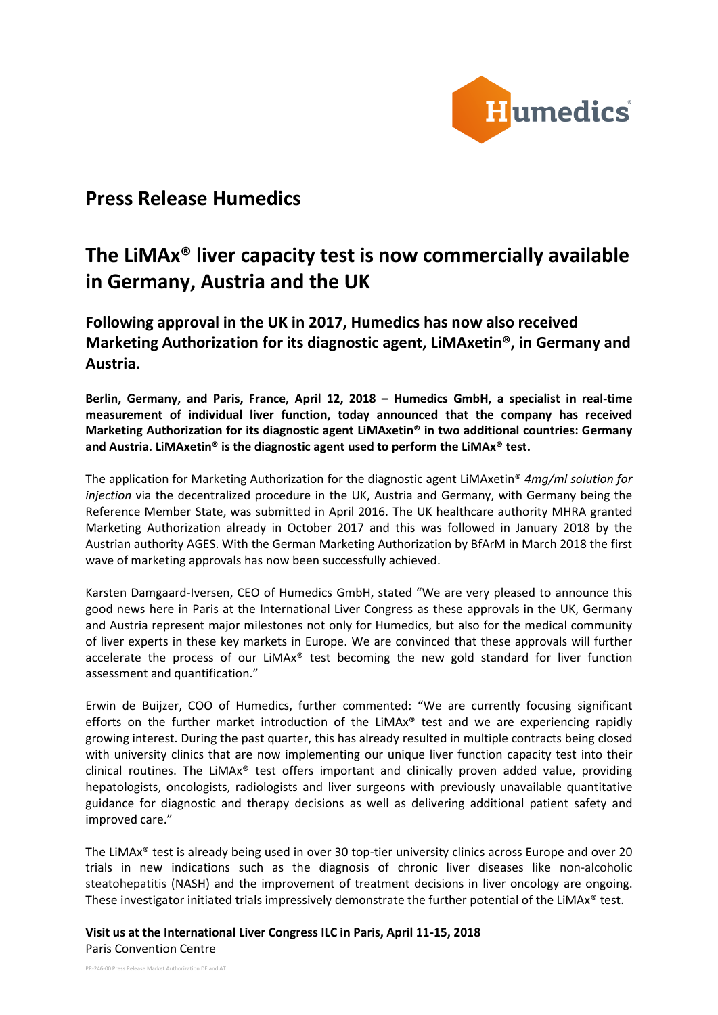

# **Press Release Humedics**

# **The LiMAx® liver capacity test is now commercially available in Germany, Austria and the UK**

**Following approval in the UK in 2017, Humedics has now also received Marketing Authorization for its diagnostic agent, LiMAxetin®, in Germany and Austria.**

**Berlin, Germany, and Paris, France, April 12, 2018 – Humedics GmbH, a specialist in real-time measurement of individual liver function, today announced that the company has received Marketing Authorization for its diagnostic agent LiMAxetin® in two additional countries: Germany and Austria. LiMAxetin® is the diagnostic agent used to perform the LiMAx® test.**

The application for Marketing Authorization for the diagnostic agent LiMAxetin® *4mg/ml solution for injection* via the decentralized procedure in the UK, Austria and Germany, with Germany being the Reference Member State, was submitted in April 2016. The UK healthcare authority MHRA granted Marketing Authorization already in October 2017 and this was followed in January 2018 by the Austrian authority AGES. With the German Marketing Authorization by BfArM in March 2018 the first wave of marketing approvals has now been successfully achieved.

Karsten Damgaard-Iversen, CEO of Humedics GmbH, stated "We are very pleased to announce this good news here in Paris at the International Liver Congress as these approvals in the UK, Germany and Austria represent major milestones not only for Humedics, but also for the medical community of liver experts in these key markets in Europe. We are convinced that these approvals will further accelerate the process of our LiMAx® test becoming the new gold standard for liver function assessment and quantification."

Erwin de Buijzer, COO of Humedics, further commented: "We are currently focusing significant efforts on the further market introduction of the LiMAx<sup>®</sup> test and we are experiencing rapidly growing interest. During the past quarter, this has already resulted in multiple contracts being closed with university clinics that are now implementing our unique liver function capacity test into their clinical routines. The LiMA $x^*$  test offers important and clinically proven added value, providing hepatologists, oncologists, radiologists and liver surgeons with previously unavailable quantitative guidance for diagnostic and therapy decisions as well as delivering additional patient safety and improved care."

The LiMAx® test is already being used in over 30 top-tier university clinics across Europe and over 20 trials in new indications such as the diagnosis of chronic liver diseases like non-alcoholic steatohepatitis (NASH) and the improvement of treatment decisions in liver oncology are ongoing. These investigator initiated trials impressively demonstrate the further potential of the LiMAx® test.

**Visit us at the International Liver Congress ILC in Paris, April 11-15, 2018** Paris Convention Centre

PR-246-00 Press Release Market Authorization DE and AT